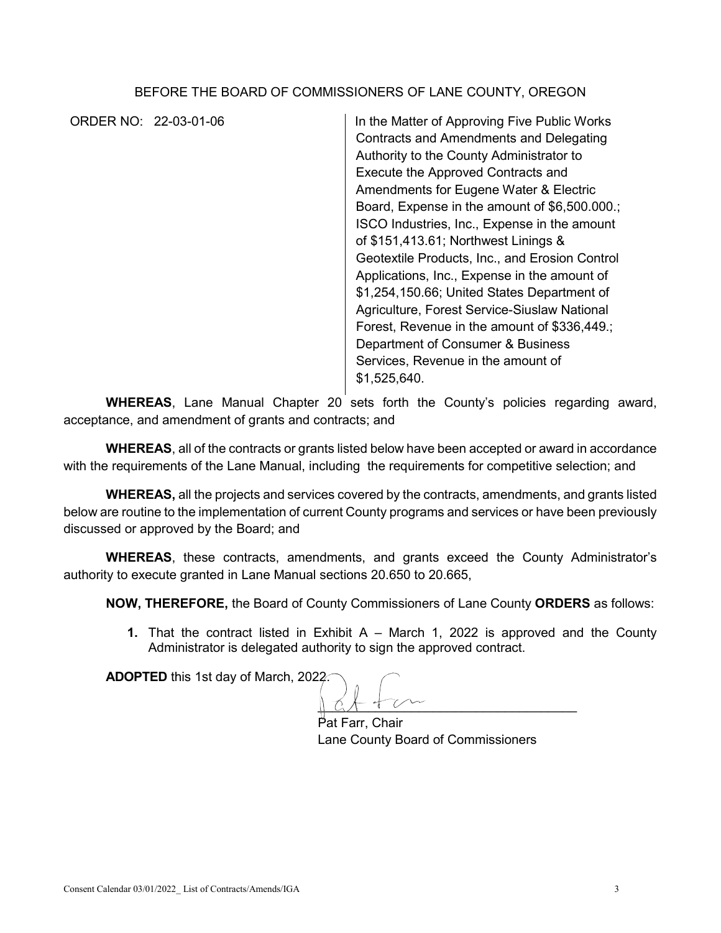## BEFORE THE BOARD OF COMMISSIONERS OF LANE COUNTY, OREGON

ORDER NO: 22-03-01-06 In the Matter of Approving Five Public Works Contracts and Amendments and Delegating Authority to the County Administrator to Execute the Approved Contracts and Amendments for Eugene Water & Electric Board, Expense in the amount of \$6,500.000.; ISCO Industries, Inc., Expense in the amount of \$151,413.61; Northwest Linings & Geotextile Products, Inc., and Erosion Control Applications, Inc., Expense in the amount of \$1,254,150.66; United States Department of Agriculture, Forest Service-Siuslaw National Forest, Revenue in the amount of \$336,449.; Department of Consumer & Business Services, Revenue in the amount of \$1,525,640.

**WHEREAS**, Lane Manual Chapter 20 sets forth the County's policies regarding award, acceptance, and amendment of grants and contracts; and

**WHEREAS**, all of the contracts or grants listed below have been accepted or award in accordance with the requirements of the Lane Manual, including the requirements for competitive selection; and

**WHEREAS,** all the projects and services covered by the contracts, amendments, and grants listed below are routine to the implementation of current County programs and services or have been previously discussed or approved by the Board; and

**WHEREAS**, these contracts, amendments, and grants exceed the County Administrator's authority to execute granted in Lane Manual sections 20.650 to 20.665,

**NOW, THEREFORE,** the Board of County Commissioners of Lane County **ORDERS** as follows:

**1.** That the contract listed in Exhibit A – March 1, 2022 is approved and the County Administrator is delegated authority to sign the approved contract.

**ADOPTED** this 1st day of March, 2022.

 $\parallel$  at  $\tau$  or

Pat Farr, Chair Lane County Board of Commissioners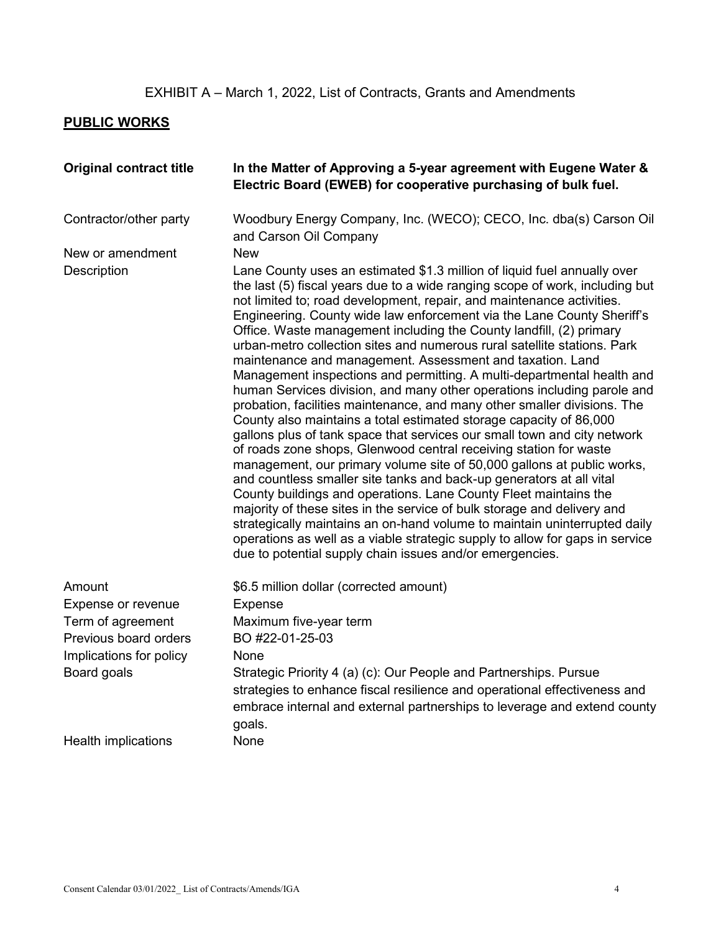## **PUBLIC WORKS**

| <b>Original contract title</b> | In the Matter of Approving a 5-year agreement with Eugene Water &<br>Electric Board (EWEB) for cooperative purchasing of bulk fuel.                                                                                                                                                                                                                                                                                                                                                                                                                                                                                                                                                                                                                                                                                                                                                                                                                                                                                                                                                                                                                                                                                                                                                                                                                                                                                                                                                                           |
|--------------------------------|---------------------------------------------------------------------------------------------------------------------------------------------------------------------------------------------------------------------------------------------------------------------------------------------------------------------------------------------------------------------------------------------------------------------------------------------------------------------------------------------------------------------------------------------------------------------------------------------------------------------------------------------------------------------------------------------------------------------------------------------------------------------------------------------------------------------------------------------------------------------------------------------------------------------------------------------------------------------------------------------------------------------------------------------------------------------------------------------------------------------------------------------------------------------------------------------------------------------------------------------------------------------------------------------------------------------------------------------------------------------------------------------------------------------------------------------------------------------------------------------------------------|
| Contractor/other party         | Woodbury Energy Company, Inc. (WECO); CECO, Inc. dba(s) Carson Oil<br>and Carson Oil Company                                                                                                                                                                                                                                                                                                                                                                                                                                                                                                                                                                                                                                                                                                                                                                                                                                                                                                                                                                                                                                                                                                                                                                                                                                                                                                                                                                                                                  |
| New or amendment               | <b>New</b>                                                                                                                                                                                                                                                                                                                                                                                                                                                                                                                                                                                                                                                                                                                                                                                                                                                                                                                                                                                                                                                                                                                                                                                                                                                                                                                                                                                                                                                                                                    |
| Description                    | Lane County uses an estimated \$1.3 million of liquid fuel annually over<br>the last (5) fiscal years due to a wide ranging scope of work, including but<br>not limited to; road development, repair, and maintenance activities.<br>Engineering. County wide law enforcement via the Lane County Sheriff's<br>Office. Waste management including the County landfill, (2) primary<br>urban-metro collection sites and numerous rural satellite stations. Park<br>maintenance and management. Assessment and taxation. Land<br>Management inspections and permitting. A multi-departmental health and<br>human Services division, and many other operations including parole and<br>probation, facilities maintenance, and many other smaller divisions. The<br>County also maintains a total estimated storage capacity of 86,000<br>gallons plus of tank space that services our small town and city network<br>of roads zone shops, Glenwood central receiving station for waste<br>management, our primary volume site of 50,000 gallons at public works,<br>and countless smaller site tanks and back-up generators at all vital<br>County buildings and operations. Lane County Fleet maintains the<br>majority of these sites in the service of bulk storage and delivery and<br>strategically maintains an on-hand volume to maintain uninterrupted daily<br>operations as well as a viable strategic supply to allow for gaps in service<br>due to potential supply chain issues and/or emergencies. |
| Amount                         | \$6.5 million dollar (corrected amount)                                                                                                                                                                                                                                                                                                                                                                                                                                                                                                                                                                                                                                                                                                                                                                                                                                                                                                                                                                                                                                                                                                                                                                                                                                                                                                                                                                                                                                                                       |
| Expense or revenue             | <b>Expense</b>                                                                                                                                                                                                                                                                                                                                                                                                                                                                                                                                                                                                                                                                                                                                                                                                                                                                                                                                                                                                                                                                                                                                                                                                                                                                                                                                                                                                                                                                                                |
| Term of agreement              | Maximum five-year term                                                                                                                                                                                                                                                                                                                                                                                                                                                                                                                                                                                                                                                                                                                                                                                                                                                                                                                                                                                                                                                                                                                                                                                                                                                                                                                                                                                                                                                                                        |
| Previous board orders          | BO #22-01-25-03                                                                                                                                                                                                                                                                                                                                                                                                                                                                                                                                                                                                                                                                                                                                                                                                                                                                                                                                                                                                                                                                                                                                                                                                                                                                                                                                                                                                                                                                                               |
| Implications for policy        | None                                                                                                                                                                                                                                                                                                                                                                                                                                                                                                                                                                                                                                                                                                                                                                                                                                                                                                                                                                                                                                                                                                                                                                                                                                                                                                                                                                                                                                                                                                          |
| Board goals                    | Strategic Priority 4 (a) (c): Our People and Partnerships. Pursue<br>strategies to enhance fiscal resilience and operational effectiveness and<br>embrace internal and external partnerships to leverage and extend county<br>goals.                                                                                                                                                                                                                                                                                                                                                                                                                                                                                                                                                                                                                                                                                                                                                                                                                                                                                                                                                                                                                                                                                                                                                                                                                                                                          |
| Health implications            | None                                                                                                                                                                                                                                                                                                                                                                                                                                                                                                                                                                                                                                                                                                                                                                                                                                                                                                                                                                                                                                                                                                                                                                                                                                                                                                                                                                                                                                                                                                          |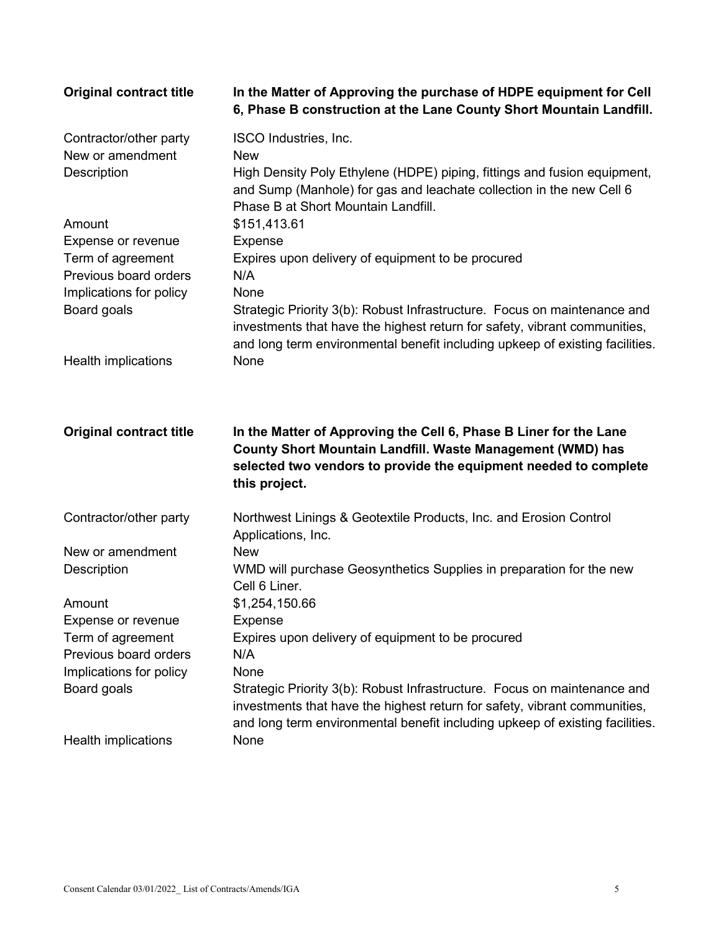| <b>Original contract title</b>                                                                             | In the Matter of Approving the purchase of HDPE equipment for Cell<br>6, Phase B construction at the Lane County Short Mountain Landfill.                                                                                                                                                                            |
|------------------------------------------------------------------------------------------------------------|----------------------------------------------------------------------------------------------------------------------------------------------------------------------------------------------------------------------------------------------------------------------------------------------------------------------|
| Contractor/other party<br>New or amendment<br><b>Description</b>                                           | ISCO Industries, Inc.<br><b>New</b><br>High Density Poly Ethylene (HDPE) piping, fittings and fusion equipment,<br>and Sump (Manhole) for gas and leachate collection in the new Cell 6<br>Phase B at Short Mountain Landfill.                                                                                       |
| Amount                                                                                                     | \$151,413.61                                                                                                                                                                                                                                                                                                         |
| Expense or revenue<br>Term of agreement<br>Previous board orders                                           | Expense<br>Expires upon delivery of equipment to be procured<br>N/A                                                                                                                                                                                                                                                  |
| Implications for policy<br>Board goals                                                                     | None<br>Strategic Priority 3(b): Robust Infrastructure. Focus on maintenance and<br>investments that have the highest return for safety, vibrant communities,<br>and long term environmental benefit including upkeep of existing facilities.                                                                        |
| Health implications                                                                                        | None                                                                                                                                                                                                                                                                                                                 |
|                                                                                                            |                                                                                                                                                                                                                                                                                                                      |
| <b>Original contract title</b>                                                                             | In the Matter of Approving the Cell 6, Phase B Liner for the Lane<br>County Short Mountain Landfill. Waste Management (WMD) has<br>selected two vendors to provide the equipment needed to complete<br>this project.                                                                                                 |
| Contractor/other party                                                                                     | Northwest Linings & Geotextile Products, Inc. and Erosion Control<br>Applications, Inc.                                                                                                                                                                                                                              |
| New or amendment<br><b>Description</b>                                                                     | <b>New</b><br>WMD will purchase Geosynthetics Supplies in preparation for the new<br>Cell 6 Liner.                                                                                                                                                                                                                   |
| Amount                                                                                                     | \$1,254,150.66                                                                                                                                                                                                                                                                                                       |
| Expense or revenue<br>Term of agreement<br>Previous board orders<br>Implications for policy<br>Board goals | Expense<br>Expires upon delivery of equipment to be procured<br>N/A<br>None<br>Strategic Priority 3(b): Robust Infrastructure. Focus on maintenance and<br>investments that have the highest return for safety, vibrant communities,<br>and long term environmental benefit including upkeep of existing facilities. |